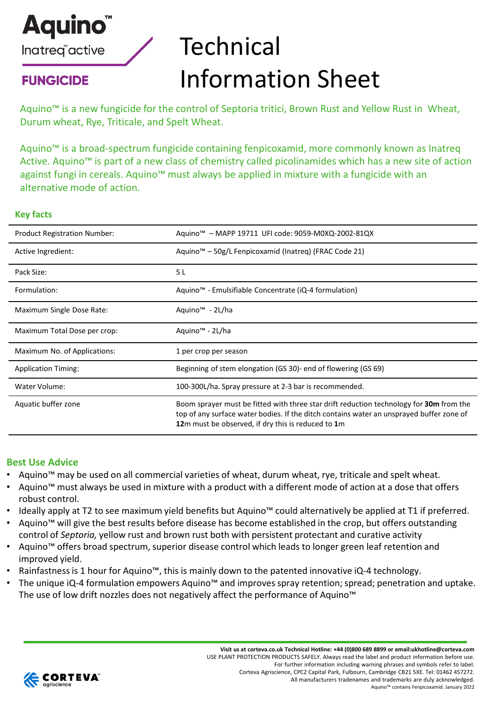

# **Technical** Information Sheet

## **FUNGICIDE**

Aquino™ is a new fungicide for the control of Septoria tritici, Brown Rust and Yellow Rust in Wheat, Durum wheat, Rye, Triticale, and Spelt Wheat.

Aquino™ is a broad-spectrum fungicide containing fenpicoxamid, more commonly known as Inatreq Active. Aquino™ is part of a new class of chemistry called picolinamides which has a new site of action against fungi in cereals. Aquino™ must always be applied in mixture with a fungicide with an alternative mode of action.

#### **Key facts**

| <b>Product Registration Number:</b> | Aquino <sup>™</sup> - MAPP 19711 UFI code: 9059-M0XQ-2002-81QX                                                                                                                                                                                   |  |  |  |
|-------------------------------------|--------------------------------------------------------------------------------------------------------------------------------------------------------------------------------------------------------------------------------------------------|--|--|--|
| Active Ingredient:                  | Aquino <sup>™</sup> – 50g/L Fenpicoxamid (Inatreg) (FRAC Code 21)                                                                                                                                                                                |  |  |  |
| Pack Size:                          | 5L                                                                                                                                                                                                                                               |  |  |  |
| Formulation:                        | Aquino <sup>™</sup> - Emulsifiable Concentrate (iQ-4 formulation)                                                                                                                                                                                |  |  |  |
| Maximum Single Dose Rate:           | Aquino <sup>™</sup> - 2L/ha                                                                                                                                                                                                                      |  |  |  |
| Maximum Total Dose per crop:        | Aquino <sup>™</sup> - 2L/ha                                                                                                                                                                                                                      |  |  |  |
| Maximum No. of Applications:        | 1 per crop per season                                                                                                                                                                                                                            |  |  |  |
| <b>Application Timing:</b>          | Beginning of stem elongation (GS 30)- end of flowering (GS 69)                                                                                                                                                                                   |  |  |  |
| Water Volume:                       | 100-300L/ha. Spray pressure at 2-3 bar is recommended.                                                                                                                                                                                           |  |  |  |
| Aquatic buffer zone                 | Boom sprayer must be fitted with three star drift reduction technology for <b>30m</b> from the<br>top of any surface water bodies. If the ditch contains water an unsprayed buffer zone of<br>12m must be observed, if dry this is reduced to 1m |  |  |  |

#### **Best Use Advice**

- Aquino™ may be used on all commercial varieties of wheat, durum wheat, rye, triticale and spelt wheat.
- Aquino™ must always be used in mixture with a product with a different mode of action at a dose that offers robust control.
- Ideally apply at T2 to see maximum yield benefits but Aquino™ could alternatively be applied at T1 if preferred.
- Aquino™ will give the best results before disease has become established in the crop, but offers outstanding control of *Septoria,* yellow rust and brown rust both with persistent protectant and curative activity
- Aquino™ offers broad spectrum, superior disease control which leads to longer green leaf retention and improved yield.
- Rainfastness is 1 hour for Aquino™, this is mainly down to the patented innovative iQ-4 technology.
- The unique iQ-4 formulation empowers Aquino™ and improves spray retention; spread; penetration and uptake. The use of low drift nozzles does not negatively affect the performance of Aquino<sup>™</sup>